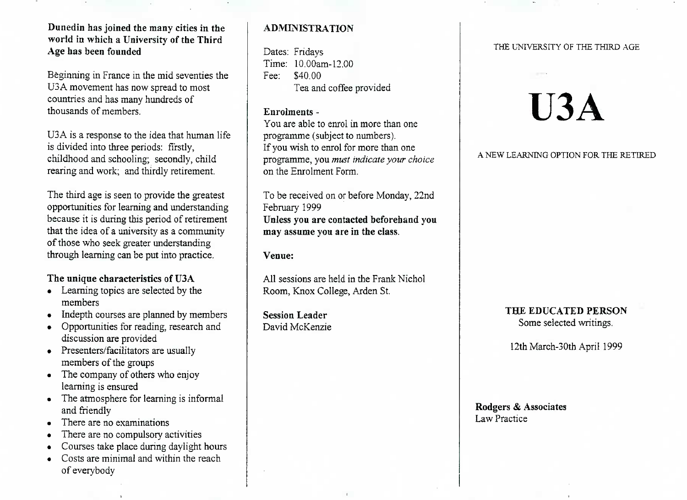## **Dunedin has joined the many cities in the world in which a University of the ThirdAge has been founded**

Beginning in France in the mid seventies theUSA movement has now spread to mostcountries and has many hundreds ofthousands of members.

U3A is a response to the idea that human lifeis divided into three periods: firstly, childhood and schooling; secondly, childrearing and work; and thirdly retirement.

The third age is seen to provide the greatest opportunities for learning and understanding because it is during this period of retirement that the idea of a university as a communityof those who seek greater understandingthrough learning can be put into practice.

## **The unique characteristics of U3A**

- Learning topics are selected by themembers
- Indepth courses are planned by members
- Opportunities for reading, research anddiscussion are provided
- Presenters/facilitators are usually members of the groups
- The company of others who enjoylearning is ensured
- The atmosphere for learning is informaland friendly
- There are no examinations
- There are no compulsory activities
- Courses take place during daylight hours
- Costs are minimal and within the reachof everybody

# **ADMINISTRATION**

Dates: Fridays Time: 10.00am-12.00Fee: \$40.00Tea and coffee provided

#### **Enrolments -**

 You are able to enrol in more than oneprogramme (subject to numbers). If you wish to enrol for more than one programme, you *must indicate your choice*on the Enrolment Form.

To be received on or before Monday, 22ndFebruary 1999 **Unless you are contacted beforehand youmay assume you are in the class.**

**Venue:**

All sessions are held in the Frank NicholRoom, Knox College, Arden St.

**Session Leader**David McKenzie

#### THE UNIVERSITY OF THE THIRD AGE

# **U3A**

A NEW LEARNING OPTION FOR THE RETIRED

#### **THE EDUCATED PERSON**Some selected writings.

12th March-30th April 1999

**Rodgers & Associates**Law Practice